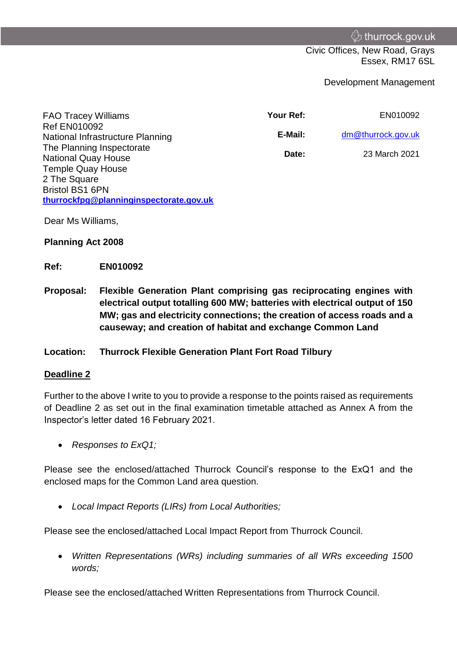Civic Offices, New Road, Grays Essex, RM17 6SL

Development Management

| <b>FAO Tracey Williams</b>                              | Your Ref: | EN010092           |
|---------------------------------------------------------|-----------|--------------------|
| <b>Ref EN010092</b><br>National Infrastructure Planning | E-Mail:   | dm@thurrock.gov.uk |
| The Planning Inspectorate<br><b>National Quay House</b> | Date:     | 23 March 2021      |
| <b>Temple Quay House</b>                                |           |                    |
| 2 The Square                                            |           |                    |
| <b>Bristol BS1 6PN</b>                                  |           |                    |

Dear Ms Williams,

#### **Planning Act 2008**

### **Ref: EN010092**

**thurrockfpg@planninginspectorate.gov.uk**

**Proposal: Flexible Generation Plant comprising gas reciprocating engines with electrical output totalling 600 MW; batteries with electrical output of 150 MW; gas and electricity connections; the creation of access roads and a causeway; and creation of habitat and exchange Common Land** 

## **Location: Thurrock Flexible Generation Plant Fort Road Tilbury**

#### **Deadline 2**

Further to the above I write to you to provide a response to the points raised as requirements of Deadline 2 as set out in the final examination timetable attached as Annex A from the Inspector's letter dated 16 February 2021.

*Responses to ExQ1;* 

Please see the enclosed/attached Thurrock Council's response to the ExQ1 and the enclosed maps for the Common Land area question.

*Local Impact Reports (LIRs) from Local Authorities;* 

Please see the enclosed/attached Local Impact Report from Thurrock Council.

 *Written Representations (WRs) including summaries of all WRs exceeding 1500 words;* 

Please see the enclosed/attached Written Representations from Thurrock Council.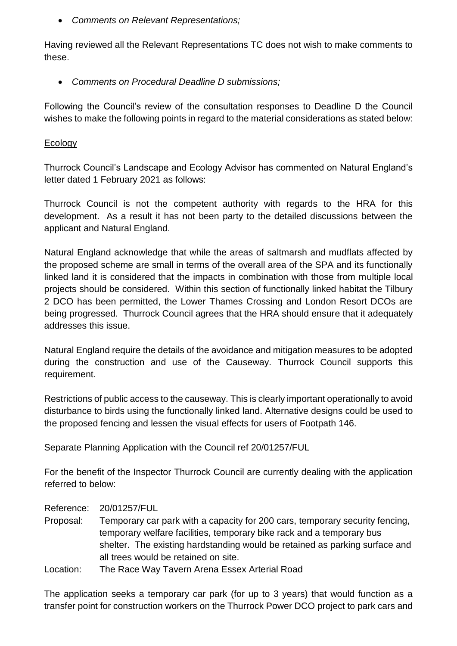*Comments on Relevant Representations;* 

Having reviewed all the Relevant Representations TC does not wish to make comments to these.

*Comments on Procedural Deadline D submissions;* 

Following the Council's review of the consultation responses to Deadline D the Council wishes to make the following points in regard to the material considerations as stated below:

## **Ecology**

Thurrock Council's Landscape and Ecology Advisor has commented on Natural England's letter dated 1 February 2021 as follows:

Thurrock Council is not the competent authority with regards to the HRA for this development. As a result it has not been party to the detailed discussions between the applicant and Natural England.

Natural England acknowledge that while the areas of saltmarsh and mudflats affected by the proposed scheme are small in terms of the overall area of the SPA and its functionally linked land it is considered that the impacts in combination with those from multiple local projects should be considered. Within this section of functionally linked habitat the Tilbury 2 DCO has been permitted, the Lower Thames Crossing and London Resort DCOs are being progressed. Thurrock Council agrees that the HRA should ensure that it adequately addresses this issue.

Natural England require the details of the avoidance and mitigation measures to be adopted during the construction and use of the Causeway. Thurrock Council supports this requirement.

Restrictions of public access to the causeway. This is clearly important operationally to avoid disturbance to birds using the functionally linked land. Alternative designs could be used to the proposed fencing and lessen the visual effects for users of Footpath 146.

# Separate Planning Application with the Council ref 20/01257/FUL

For the benefit of the Inspector Thurrock Council are currently dealing with the application referred to below:

## Reference: 20/01257/FUL

- Proposal: Temporary car park with a capacity for 200 cars, temporary security fencing, temporary welfare facilities, temporary bike rack and a temporary bus shelter. The existing hardstanding would be retained as parking surface and all trees would be retained on site.
- Location: The Race Way Tavern Arena Essex Arterial Road

The application seeks a temporary car park (for up to 3 years) that would function as a transfer point for construction workers on the Thurrock Power DCO project to park cars and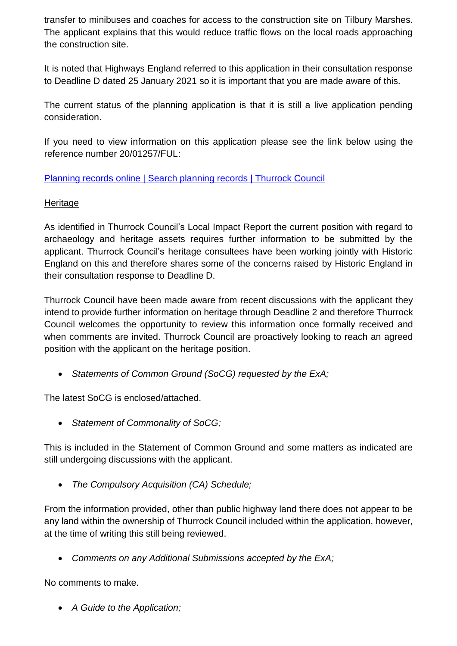transfer to minibuses and coaches for access to the construction site on Tilbury Marshes. The applicant explains that this would reduce traffic flows on the local roads approaching the construction site.

It is noted that Highways England referred to this application in their consultation response to Deadline D dated 25 January 2021 so it is important that you are made aware of this.

The current status of the planning application is that it is still a live application pending consideration.

If you need to view information on this application please see the link below using the reference number 20/01257/FUL:

Planning records online | Search planning records | Thurrock Council

# **Heritage**

As identified in Thurrock Council's Local Impact Report the current position with regard to archaeology and heritage assets requires further information to be submitted by the applicant. Thurrock Council's heritage consultees have been working jointly with Historic England on this and therefore shares some of the concerns raised by Historic England in their consultation response to Deadline D.

Thurrock Council have been made aware from recent discussions with the applicant they intend to provide further information on heritage through Deadline 2 and therefore Thurrock Council welcomes the opportunity to review this information once formally received and when comments are invited. Thurrock Council are proactively looking to reach an agreed position with the applicant on the heritage position.

*Statements of Common Ground (SoCG) requested by the ExA;* 

The latest SoCG is enclosed/attached.

*Statement of Commonality of SoCG;* 

This is included in the Statement of Common Ground and some matters as indicated are still undergoing discussions with the applicant.

*The Compulsory Acquisition (CA) Schedule;* 

From the information provided, other than public highway land there does not appear to be any land within the ownership of Thurrock Council included within the application, however, at the time of writing this still being reviewed.

*Comments on any Additional Submissions accepted by the ExA;* 

No comments to make.

*A Guide to the Application;*